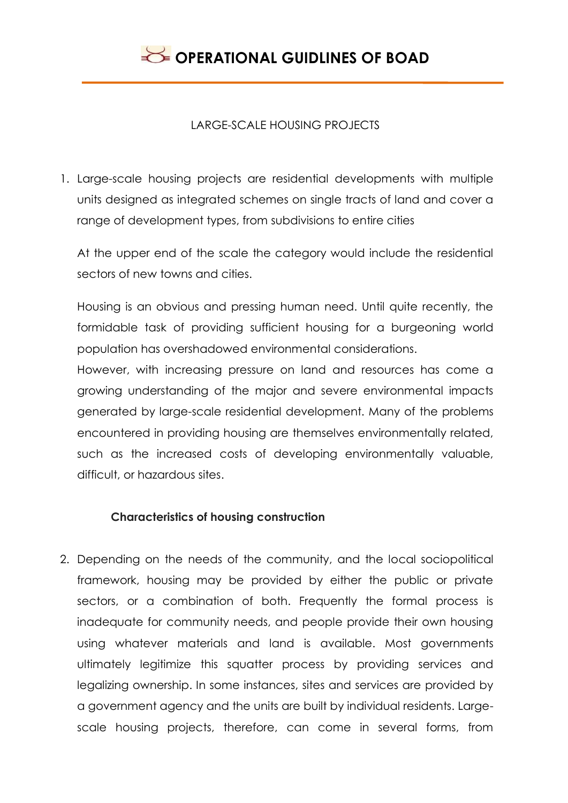### LARGE-SCALE HOUSING PROJECTS

1. Large-scale housing projects are residential developments with multiple units designed as integrated schemes on single tracts of land and cover a range of development types, from subdivisions to entire cities

At the upper end of the scale the category would include the residential sectors of new towns and cities.

Housing is an obvious and pressing human need. Until quite recently, the formidable task of providing sufficient housing for a burgeoning world population has overshadowed environmental considerations.

However, with increasing pressure on land and resources has come a growing understanding of the major and severe environmental impacts generated by large-scale residential development. Many of the problems encountered in providing housing are themselves environmentally related, such as the increased costs of developing environmentally valuable, difficult, or hazardous sites.

### **Characteristics of housing construction**

2. Depending on the needs of the community, and the local sociopolitical framework, housing may be provided by either the public or private sectors, or a combination of both. Frequently the formal process is inadequate for community needs, and people provide their own housing using whatever materials and land is available. Most governments ultimately legitimize this squatter process by providing services and legalizing ownership. In some instances, sites and services are provided by a government agency and the units are built by individual residents. Largescale housing projects, therefore, can come in several forms, from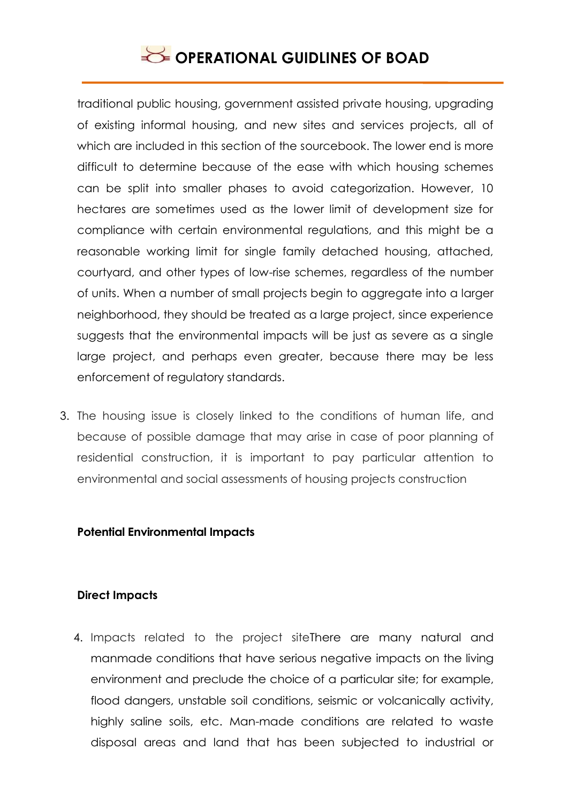traditional public housing, government assisted private housing, upgrading of existing informal housing, and new sites and services projects, all of which are included in this section of the sourcebook. The lower end is more difficult to determine because of the ease with which housing schemes can be split into smaller phases to avoid categorization. However, 10 hectares are sometimes used as the lower limit of development size for compliance with certain environmental regulations, and this might be a reasonable working limit for single family detached housing, attached, courtyard, and other types of low-rise schemes, regardless of the number of units. When a number of small projects begin to aggregate into a larger neighborhood, they should be treated as a large project, since experience suggests that the environmental impacts will be just as severe as a single large project, and perhaps even greater, because there may be less enforcement of regulatory standards.

3. The housing issue is closely linked to the conditions of human life, and because of possible damage that may arise in case of poor planning of residential construction, it is important to pay particular attention to environmental and social assessments of housing projects construction

#### **Potential Environmental Impacts**

#### **Direct Impacts**

4. Impacts related to the project siteThere are many natural and manmade conditions that have serious negative impacts on the living environment and preclude the choice of a particular site; for example, flood dangers, unstable soil conditions, seismic or volcanically activity, highly saline soils, etc. Man-made conditions are related to waste disposal areas and land that has been subjected to industrial or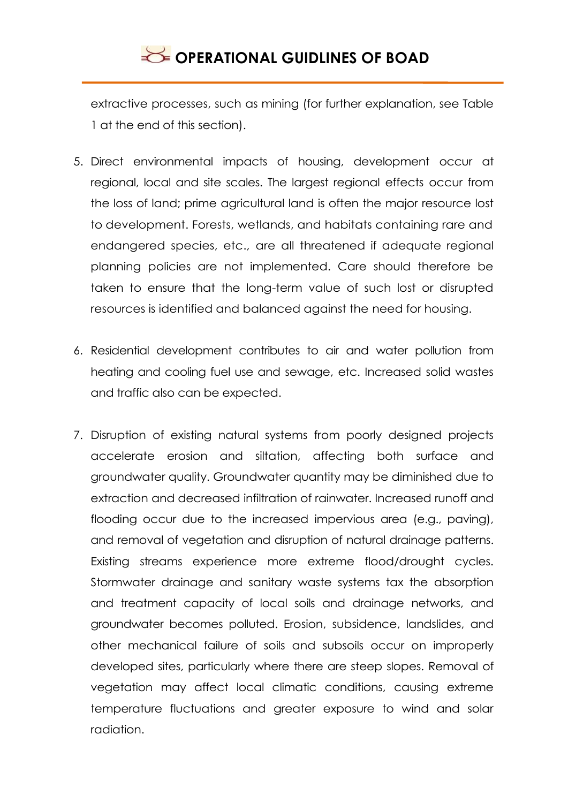extractive processes, such as mining (for further explanation, see Table 1 at the end of this section).

- 5. Direct environmental impacts of housing, development occur at regional, local and site scales. The largest regional effects occur from the loss of land; prime agricultural land is often the major resource lost to development. Forests, wetlands, and habitats containing rare and endangered species, etc., are all threatened if adequate regional planning policies are not implemented. Care should therefore be taken to ensure that the long-term value of such lost or disrupted resources is identified and balanced against the need for housing.
- 6. Residential development contributes to air and water pollution from heating and cooling fuel use and sewage, etc. Increased solid wastes and traffic also can be expected.
- 7. Disruption of existing natural systems from poorly designed projects accelerate erosion and siltation, affecting both surface and groundwater quality. Groundwater quantity may be diminished due to extraction and decreased infiltration of rainwater. Increased runoff and flooding occur due to the increased impervious area (e.g., paving), and removal of vegetation and disruption of natural drainage patterns. Existing streams experience more extreme flood/drought cycles. Stormwater drainage and sanitary waste systems tax the absorption and treatment capacity of local soils and drainage networks, and groundwater becomes polluted. Erosion, subsidence, landslides, and other mechanical failure of soils and subsoils occur on improperly developed sites, particularly where there are steep slopes. Removal of vegetation may affect local climatic conditions, causing extreme temperature fluctuations and greater exposure to wind and solar radiation.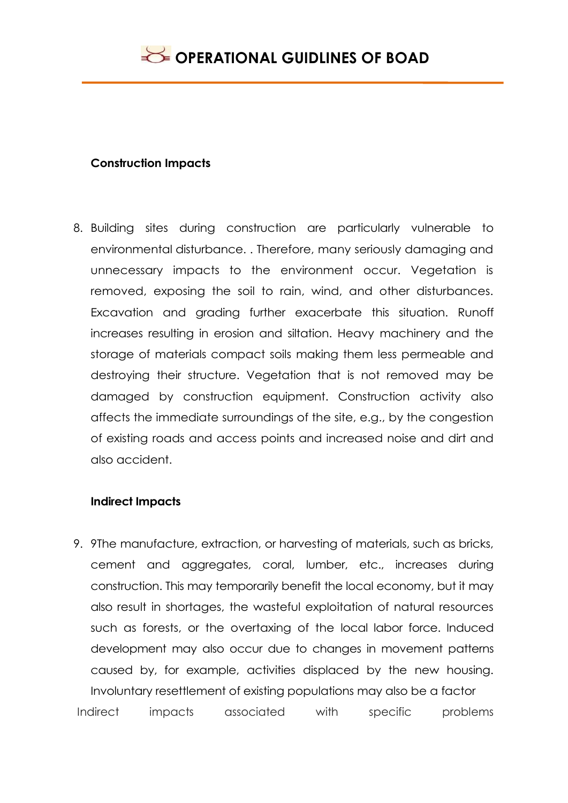### **Construction Impacts**

8. Building sites during construction are particularly vulnerable to environmental disturbance. . Therefore, many seriously damaging and unnecessary impacts to the environment occur. Vegetation is removed, exposing the soil to rain, wind, and other disturbances. Excavation and grading further exacerbate this situation. Runoff increases resulting in erosion and siltation. Heavy machinery and the storage of materials compact soils making them less permeable and destroying their structure. Vegetation that is not removed may be damaged by construction equipment. Construction activity also affects the immediate surroundings of the site, e.g., by the congestion of existing roads and access points and increased noise and dirt and also accident.

#### **Indirect Impacts**

9. 9The manufacture, extraction, or harvesting of materials, such as bricks, cement and aggregates, coral, lumber, etc., increases during construction. This may temporarily benefit the local economy, but it may also result in shortages, the wasteful exploitation of natural resources such as forests, or the overtaxing of the local labor force. Induced development may also occur due to changes in movement patterns caused by, for example, activities displaced by the new housing. Involuntary resettlement of existing populations may also be a factor Indirect impacts associated with specific problems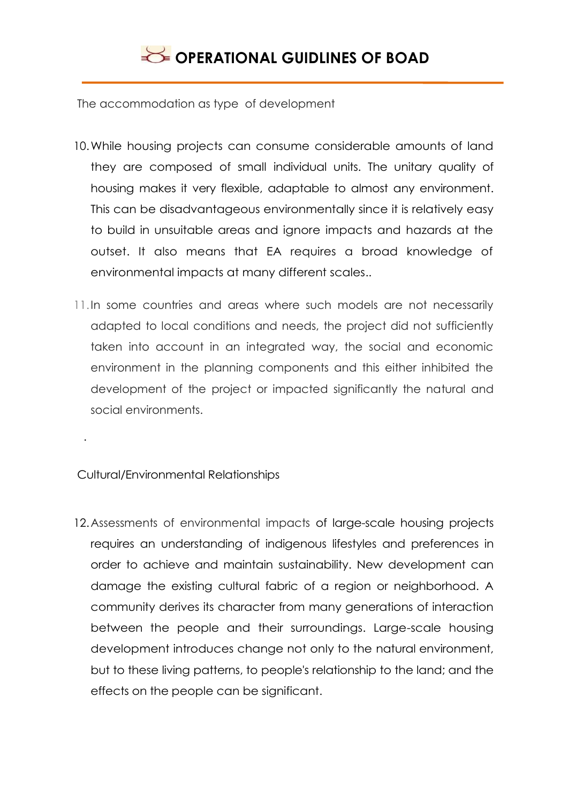The accommodation as type of development

- 10.While housing projects can consume considerable amounts of land they are composed of small individual units. The unitary quality of housing makes it very flexible, adaptable to almost any environment. This can be disadvantageous environmentally since it is relatively easy to build in unsuitable areas and ignore impacts and hazards at the outset. It also means that EA requires a broad knowledge of environmental impacts at many different scales..
- 11.In some countries and areas where such models are not necessarily adapted to local conditions and needs, the project did not sufficiently taken into account in an integrated way, the social and economic environment in the planning components and this either inhibited the development of the project or impacted significantly the natural and social environments.

Cultural/Environmental Relationships

.

12.Assessments of environmental impacts of large-scale housing projects requires an understanding of indigenous lifestyles and preferences in order to achieve and maintain sustainability. New development can damage the existing cultural fabric of a region or neighborhood. A community derives its character from many generations of interaction between the people and their surroundings. Large-scale housing development introduces change not only to the natural environment, but to these living patterns, to people's relationship to the land; and the effects on the people can be significant.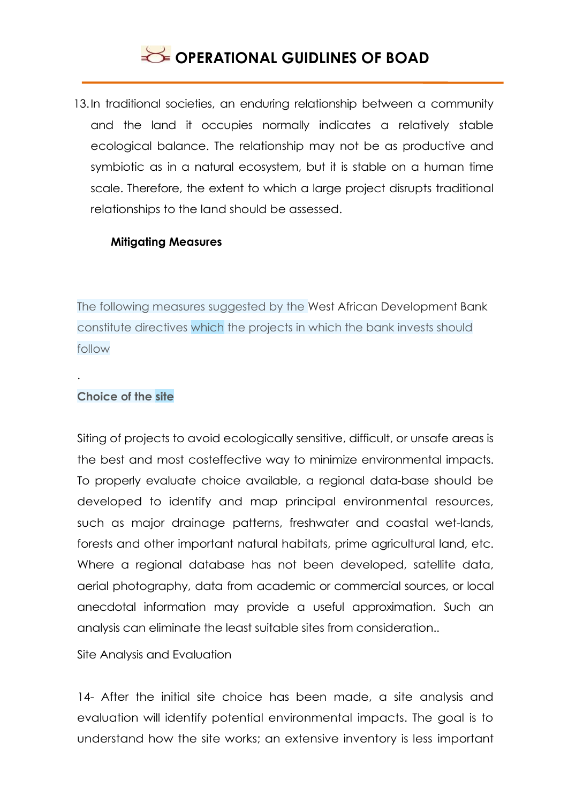13.In traditional societies, an enduring relationship between a community and the land it occupies normally indicates a relatively stable ecological balance. The relationship may not be as productive and symbiotic as in a natural ecosystem, but it is stable on a human time scale. Therefore, the extent to which a large project disrupts traditional relationships to the land should be assessed.

#### **Mitigating Measures**

The following measures suggested by the West African Development Bank constitute directives which the projects in which the bank invests should follow

#### **Choice of the site**

.

Siting of projects to avoid ecologically sensitive, difficult, or unsafe areas is the best and most costeffective way to minimize environmental impacts. To properly evaluate choice available, a regional data-base should be developed to identify and map principal environmental resources, such as major drainage patterns, freshwater and coastal wet-lands, forests and other important natural habitats, prime agricultural land, etc. Where a regional database has not been developed, satellite data, aerial photography, data from academic or commercial sources, or local anecdotal information may provide a useful approximation. Such an analysis can eliminate the least suitable sites from consideration..

Site Analysis and Evaluation

14- After the initial site choice has been made, a site analysis and evaluation will identify potential environmental impacts. The goal is to understand how the site works; an extensive inventory is less important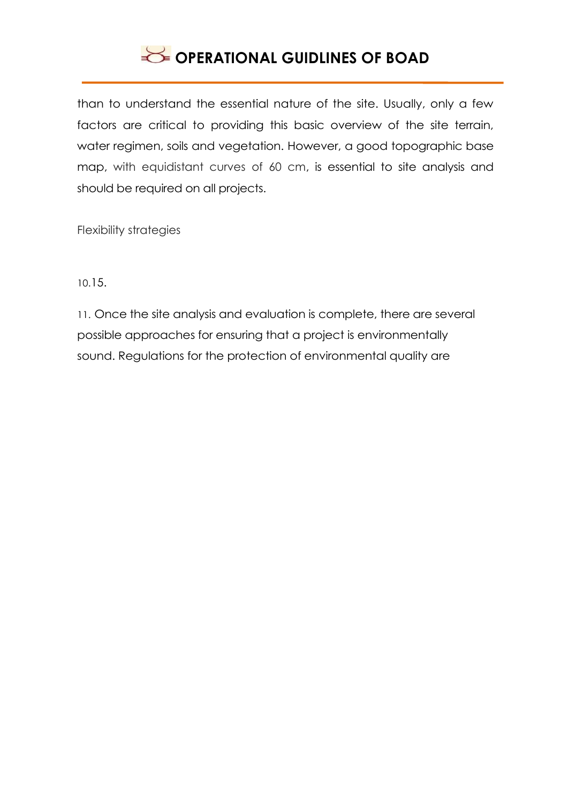than to understand the essential nature of the site. Usually, only a few factors are critical to providing this basic overview of the site terrain, water regimen, soils and vegetation. However, a good topographic base map, with equidistant curves of 60 cm, is essential to site analysis and should be required on all projects.

Flexibility strategies

10.15.

11. Once the site analysis and evaluation is complete, there are several possible approaches for ensuring that a project is environmentally sound. Regulations for the protection of environmental quality are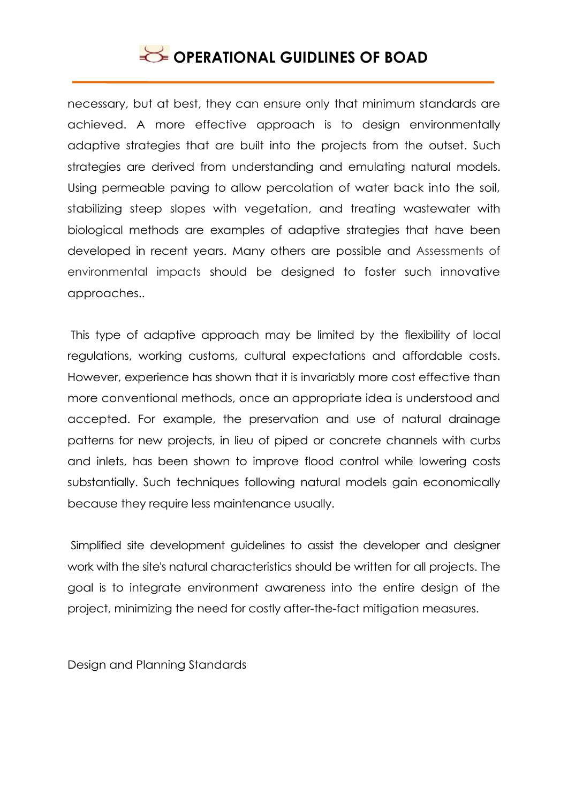necessary, but at best, they can ensure only that minimum standards are achieved. A more effective approach is to design environmentally adaptive strategies that are built into the projects from the outset. Such strategies are derived from understanding and emulating natural models. Using permeable paving to allow percolation of water back into the soil, stabilizing steep slopes with vegetation, and treating wastewater with biological methods are examples of adaptive strategies that have been developed in recent years. Many others are possible and Assessments of environmental impacts should be designed to foster such innovative approaches..

This type of adaptive approach may be limited by the flexibility of local regulations, working customs, cultural expectations and affordable costs. However, experience has shown that it is invariably more cost effective than more conventional methods, once an appropriate idea is understood and accepted. For example, the preservation and use of natural drainage patterns for new projects, in lieu of piped or concrete channels with curbs and inlets, has been shown to improve flood control while lowering costs substantially. Such techniques following natural models gain economically because they require less maintenance usually.

Simplified site development guidelines to assist the developer and designer work with the site's natural characteristics should be written for all projects. The goal is to integrate environment awareness into the entire design of the project, minimizing the need for costly after-the-fact mitigation measures.

Design and Planning Standards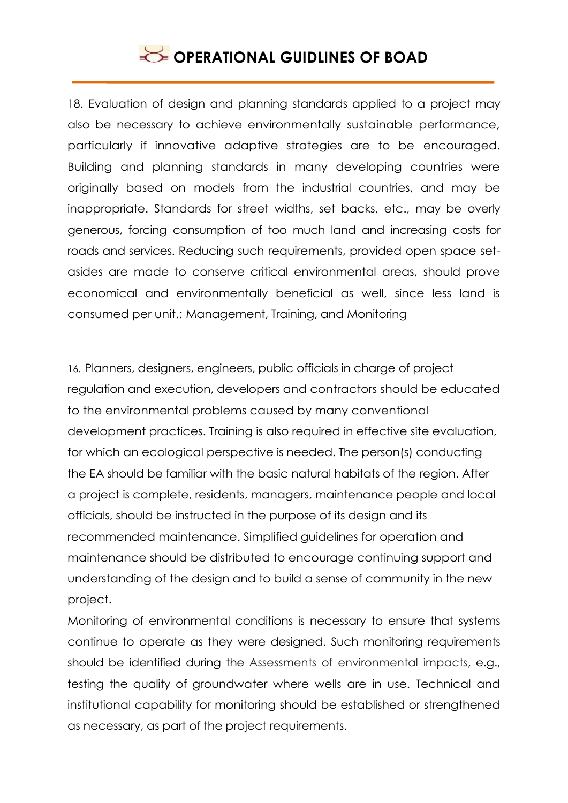18. Evaluation of design and planning standards applied to a project may also be necessary to achieve environmentally sustainable performance, particularly if innovative adaptive strategies are to be encouraged. Building and planning standards in many developing countries were originally based on models from the industrial countries, and may be inappropriate. Standards for street widths, set backs, etc., may be overly generous, forcing consumption of too much land and increasing costs for roads and services. Reducing such requirements, provided open space setasides are made to conserve critical environmental areas, should prove economical and environmentally beneficial as well, since less land is consumed per unit.: Management, Training, and Monitoring

16. Planners, designers, engineers, public officials in charge of project regulation and execution, developers and contractors should be educated to the environmental problems caused by many conventional development practices. Training is also required in effective site evaluation, for which an ecological perspective is needed. The person(s) conducting the EA should be familiar with the basic natural habitats of the region. After a project is complete, residents, managers, maintenance people and local officials, should be instructed in the purpose of its design and its recommended maintenance. Simplified guidelines for operation and maintenance should be distributed to encourage continuing support and understanding of the design and to build a sense of community in the new project.

Monitoring of environmental conditions is necessary to ensure that systems continue to operate as they were designed. Such monitoring requirements should be identified during the Assessments of environmental impacts, e.g., testing the quality of groundwater where wells are in use. Technical and institutional capability for monitoring should be established or strengthened as necessary, as part of the project requirements.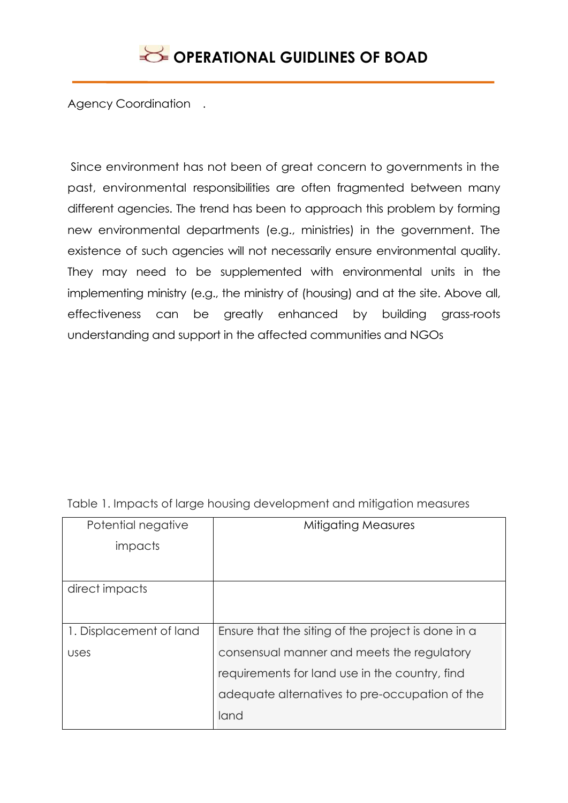Agency Coordination .

Since environment has not been of great concern to governments in the past, environmental responsibilities are often fragmented between many different agencies. The trend has been to approach this problem by forming new environmental departments (e.g., ministries) in the government. The existence of such agencies will not necessarily ensure environmental quality. They may need to be supplemented with environmental units in the implementing ministry (e.g., the ministry of (housing) and at the site. Above all, effectiveness can be greatly enhanced by building grass-roots understanding and support in the affected communities and NGOs

| Potential negative      | <b>Mitigating Measures</b>                         |
|-------------------------|----------------------------------------------------|
| impacts                 |                                                    |
|                         |                                                    |
| direct impacts          |                                                    |
|                         |                                                    |
| 1. Displacement of land | Ensure that the siting of the project is done in a |
| uses                    | consensual manner and meets the regulatory         |
|                         | requirements for land use in the country, find     |
|                         | adequate alternatives to pre-occupation of the     |
|                         | land                                               |

Table 1. Impacts of large housing development and mitigation measures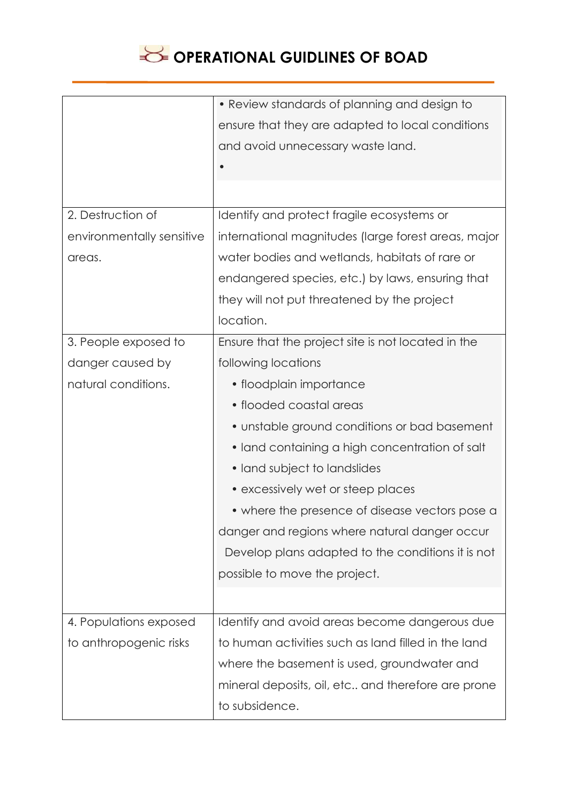

|                           | • Review standards of planning and design to         |
|---------------------------|------------------------------------------------------|
|                           | ensure that they are adapted to local conditions     |
|                           | and avoid unnecessary waste land.                    |
|                           |                                                      |
|                           |                                                      |
| 2. Destruction of         | Identify and protect fragile ecosystems or           |
| environmentally sensitive | international magnitudes (large forest areas, major  |
| areas.                    | water bodies and wetlands, habitats of rare or       |
|                           | endangered species, etc.) by laws, ensuring that     |
|                           | they will not put threatened by the project          |
|                           | location.                                            |
| 3. People exposed to      | Ensure that the project site is not located in the   |
| danger caused by          | following locations                                  |
| natural conditions.       | • floodplain importance                              |
|                           | • flooded coastal areas                              |
|                           | • unstable ground conditions or bad basement         |
|                           | • land containing a high concentration of salt       |
|                           | • land subject to landslides                         |
|                           | • excessively wet or steep places                    |
|                           | • where the presence of disease vectors pose a       |
|                           | danger and regions where natural danger occur        |
|                           | Develop plans adapted to the conditions it is not    |
|                           | possible to move the project.                        |
|                           |                                                      |
| 4. Populations exposed    | Identify and avoid areas become dangerous due        |
| to anthropogenic risks    | to human activities such as land filled in the land  |
|                           | where the basement is used, groundwater and          |
|                           | mineral deposits, oil, etc., and therefore are prone |
|                           | to subsidence.                                       |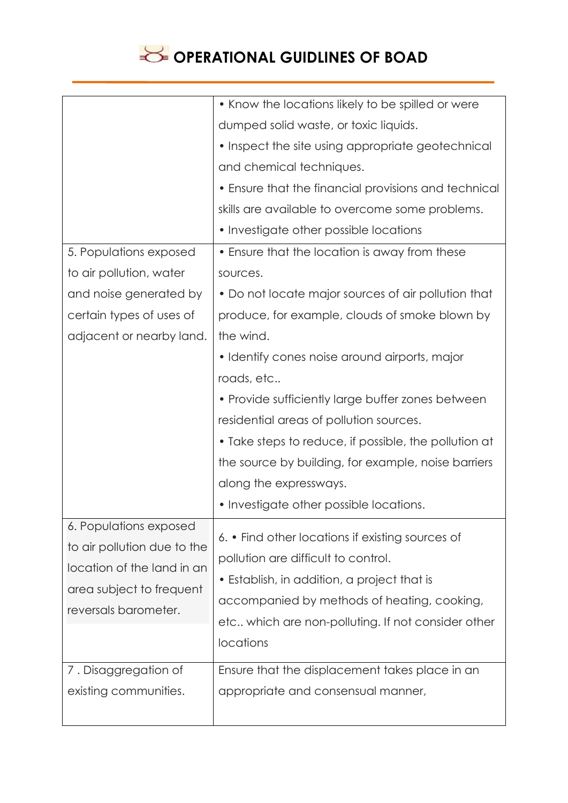|                             | • Know the locations likely to be spilled or were     |
|-----------------------------|-------------------------------------------------------|
|                             | dumped solid waste, or toxic liquids.                 |
|                             | • Inspect the site using appropriate geotechnical     |
|                             | and chemical techniques.                              |
|                             | • Ensure that the financial provisions and technical  |
|                             | skills are available to overcome some problems.       |
|                             | • Investigate other possible locations                |
| 5. Populations exposed      | • Ensure that the location is away from these         |
| to air pollution, water     | sources.                                              |
| and noise generated by      | • Do not locate major sources of air pollution that   |
| certain types of uses of    | produce, for example, clouds of smoke blown by        |
| adjacent or nearby land.    | the wind.                                             |
|                             | • Identify cones noise around airports, major         |
|                             | roads, etc                                            |
|                             | • Provide sufficiently large buffer zones between     |
|                             | residential areas of pollution sources.               |
|                             | • Take steps to reduce, if possible, the pollution at |
|                             | the source by building, for example, noise barriers   |
|                             | along the expressways.                                |
|                             | • Investigate other possible locations.               |
| 6. Populations exposed      | 6. • Find other locations if existing sources of      |
| to air pollution due to the | pollution are difficult to control.                   |
| location of the land in an  | • Establish, in addition, a project that is           |
| area subject to frequent    | accompanied by methods of heating, cooking,           |
| reversals barometer.        | etc which are non-polluting. If not consider other    |
|                             | locations                                             |
| 7. Disaggregation of        | Ensure that the displacement takes place in an        |
| existing communities.       | appropriate and consensual manner,                    |
|                             |                                                       |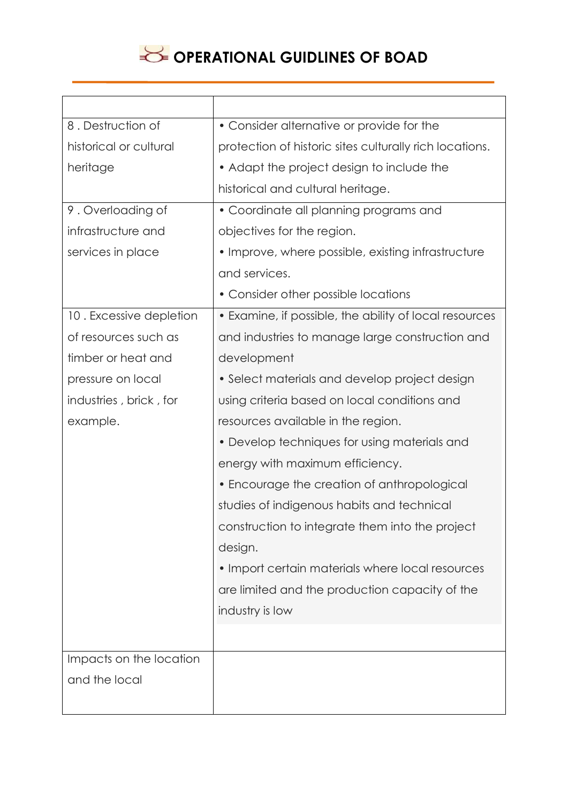| 8. Destruction of       | • Consider alternative or provide for the               |
|-------------------------|---------------------------------------------------------|
| historical or cultural  | protection of historic sites culturally rich locations. |
| heritage                | • Adapt the project design to include the               |
|                         | historical and cultural heritage.                       |
| 9. Overloading of       | • Coordinate all planning programs and                  |
| infrastructure and      | objectives for the region.                              |
| services in place       | • Improve, where possible, existing infrastructure      |
|                         | and services.                                           |
|                         | • Consider other possible locations                     |
| 10. Excessive depletion | • Examine, if possible, the ability of local resources  |
| of resources such as    | and industries to manage large construction and         |
| timber or heat and      | development                                             |
| pressure on local       | • Select materials and develop project design           |
| industries, brick, for  | using criteria based on local conditions and            |
| example.                | resources available in the region.                      |
|                         | • Develop techniques for using materials and            |
|                         | energy with maximum efficiency.                         |
|                         | • Encourage the creation of anthropological             |
|                         | studies of indigenous habits and technical              |
|                         | construction to integrate them into the project         |
|                         | design.                                                 |
|                         | • Import certain materials where local resources        |
|                         | are limited and the production capacity of the          |
|                         | industry is low                                         |
|                         |                                                         |
| Impacts on the location |                                                         |
| and the local           |                                                         |
|                         |                                                         |
|                         |                                                         |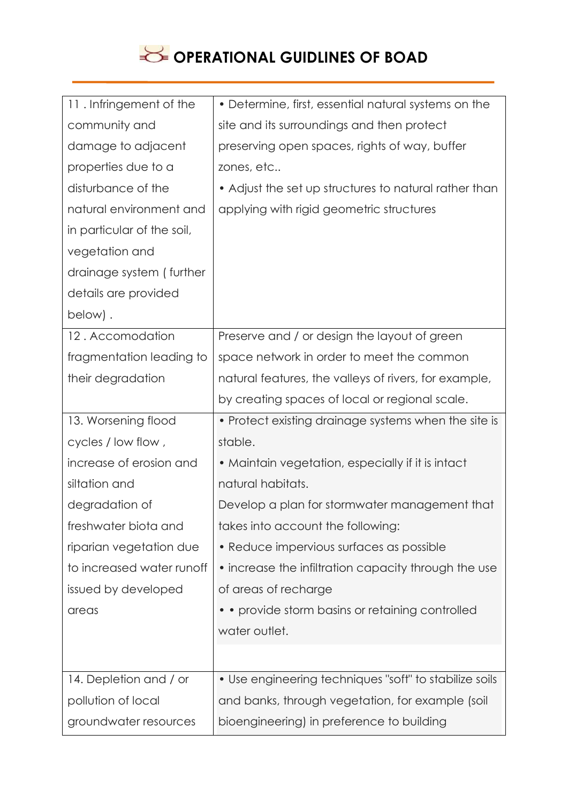| 11. Infringement of the    | • Determine, first, essential natural systems on the   |
|----------------------------|--------------------------------------------------------|
| community and              | site and its surroundings and then protect             |
| damage to adjacent         | preserving open spaces, rights of way, buffer          |
| properties due to a        | zones, etc                                             |
| disturbance of the         | • Adjust the set up structures to natural rather than  |
| natural environment and    | applying with rigid geometric structures               |
| in particular of the soil, |                                                        |
| vegetation and             |                                                        |
| drainage system (further   |                                                        |
| details are provided       |                                                        |
| below).                    |                                                        |
| 12. Accomodation           | Preserve and / or design the layout of green           |
| fragmentation leading to   | space network in order to meet the common              |
| their degradation          | natural features, the valleys of rivers, for example,  |
|                            | by creating spaces of local or regional scale.         |
| 13. Worsening flood        | • Protect existing drainage systems when the site is   |
| cycles / low flow,         | stable.                                                |
| increase of erosion and    | • Maintain vegetation, especially if it is intact      |
| siltation and              | natural habitats.                                      |
| degradation of             | Develop a plan for stormwater management that          |
| freshwater biota and       | takes into account the following:                      |
| riparian vegetation due    | • Reduce impervious surfaces as possible               |
| to increased water runoff  | • increase the infiltration capacity through the use   |
| issued by developed        | of areas of recharge                                   |
| areas                      | • • provide storm basins or retaining controlled       |
|                            | water outlet.                                          |
|                            |                                                        |
| 14. Depletion and / or     | • Use engineering techniques "soft" to stabilize soils |
| pollution of local         | and banks, through vegetation, for example (soil       |
| groundwater resources      | bioengineering) in preference to building              |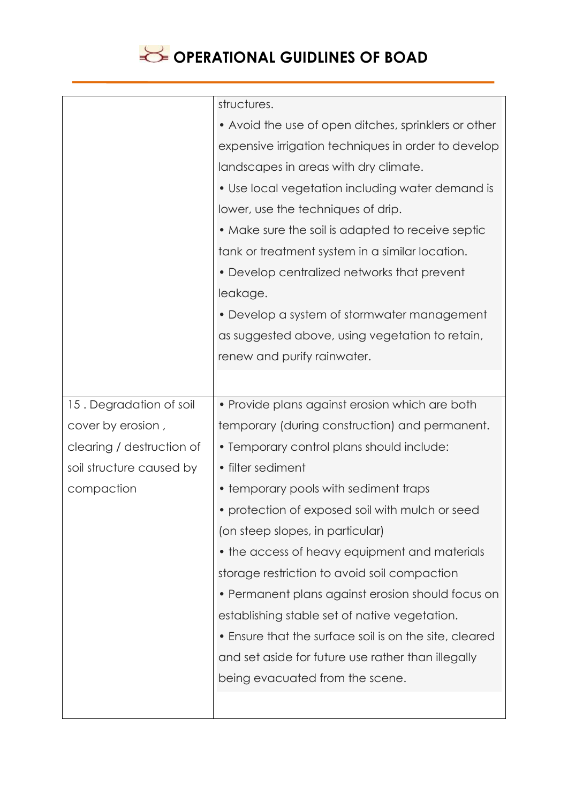

|                           | structures.                                            |
|---------------------------|--------------------------------------------------------|
|                           | • Avoid the use of open ditches, sprinklers or other   |
|                           | expensive irrigation techniques in order to develop    |
|                           | landscapes in areas with dry climate.                  |
|                           | • Use local vegetation including water demand is       |
|                           | lower, use the techniques of drip.                     |
|                           | • Make sure the soil is adapted to receive septic      |
|                           | tank or treatment system in a similar location.        |
|                           | • Develop centralized networks that prevent            |
|                           | leakage.                                               |
|                           | • Develop a system of stormwater management            |
|                           | as suggested above, using vegetation to retain,        |
|                           | renew and purify rainwater.                            |
|                           |                                                        |
| 15. Degradation of soil   | • Provide plans against erosion which are both         |
| cover by erosion,         | temporary (during construction) and permanent.         |
| clearing / destruction of | • Temporary control plans should include:              |
| soil structure caused by  | • filter sediment                                      |
| compaction                | • temporary pools with sediment traps                  |
|                           | • protection of exposed soil with mulch or seed        |
|                           | (on steep slopes, in particular)                       |
|                           | • the access of heavy equipment and materials          |
|                           | storage restriction to avoid soil compaction           |
|                           | • Permanent plans against erosion should focus on      |
|                           | establishing stable set of native vegetation.          |
|                           | • Ensure that the surface soil is on the site, cleared |
|                           | and set aside for future use rather than illegally     |
|                           | being evacuated from the scene.                        |
|                           |                                                        |
|                           |                                                        |